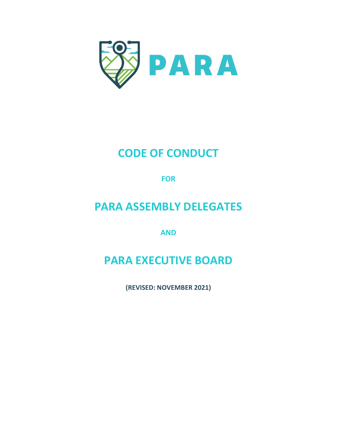

# CODE OF CONDUCT

**FOR** 

## PARA ASSEMBLY DELEGATES

AND

# PARA EXECUTIVE BOARD

(REVISED: NOVEMBER 2021)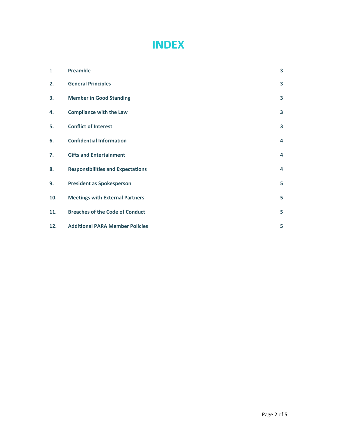## INDEX

| 1.  | Preamble                                 | 3 |
|-----|------------------------------------------|---|
| 2.  | <b>General Principles</b>                | 3 |
| 3.  | <b>Member in Good Standing</b>           | 3 |
| 4.  | <b>Compliance with the Law</b>           | 3 |
| 5.  | <b>Conflict of Interest</b>              | 3 |
| 6.  | <b>Confidential Information</b>          | 4 |
| 7.  | <b>Gifts and Entertainment</b>           | 4 |
| 8.  | <b>Responsibilities and Expectations</b> | 4 |
| 9.  | <b>President as Spokesperson</b>         | 5 |
| 10. | <b>Meetings with External Partners</b>   | 5 |
| 11. | <b>Breaches of the Code of Conduct</b>   | 5 |
| 12. | <b>Additional PARA Member Policies</b>   | 5 |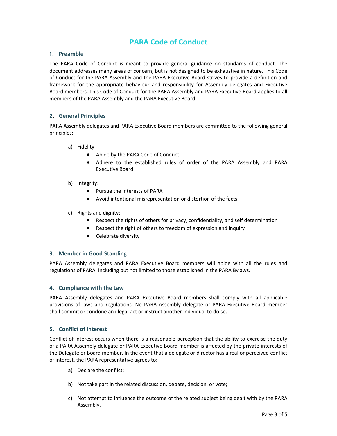### PARA Code of Conduct

#### 1. Preamble

The PARA Code of Conduct is meant to provide general guidance on standards of conduct. The document addresses many areas of concern, but is not designed to be exhaustive in nature. This Code of Conduct for the PARA Assembly and the PARA Executive Board strives to provide a definition and framework for the appropriate behaviour and responsibility for Assembly delegates and Executive Board members. This Code of Conduct for the PARA Assembly and PARA Executive Board applies to all members of the PARA Assembly and the PARA Executive Board.

#### 2. General Principles

PARA Assembly delegates and PARA Executive Board members are committed to the following general principles:

- a) Fidelity
	- Abide by the PARA Code of Conduct
	- Adhere to the established rules of order of the PARA Assembly and PARA Executive Board
- b) Integrity:
	- Pursue the interests of PARA
	- Avoid intentional misrepresentation or distortion of the facts
- c) Rights and dignity:
	- Respect the rights of others for privacy, confidentiality, and self determination
	- Respect the right of others to freedom of expression and inquiry
	- Celebrate diversity

#### 3. Member in Good Standing

PARA Assembly delegates and PARA Executive Board members will abide with all the rules and regulations of PARA, including but not limited to those established in the PARA Bylaws.

#### 4. Compliance with the Law

PARA Assembly delegates and PARA Executive Board members shall comply with all applicable provisions of laws and regulations. No PARA Assembly delegate or PARA Executive Board member shall commit or condone an illegal act or instruct another individual to do so.

#### 5. Conflict of Interest

Conflict of interest occurs when there is a reasonable perception that the ability to exercise the duty of a PARA Assembly delegate or PARA Executive Board member is affected by the private interests of the Delegate or Board member. In the event that a delegate or director has a real or perceived conflict of interest, the PARA representative agrees to:

- a) Declare the conflict;
- b) Not take part in the related discussion, debate, decision, or vote;
- c) Not attempt to influence the outcome of the related subject being dealt with by the PARA Assembly.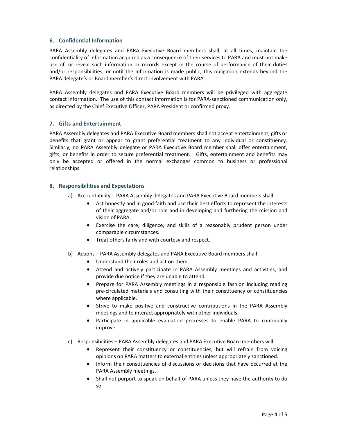#### 6. Confidential Information

PARA Assembly delegates and PARA Executive Board members shall, at all times, maintain the confidentiality of information acquired as a consequence of their services to PARA and must not make use of, or reveal such information or records except in the course of performance of their duties and/or responsibilities, or until the information is made public, this obligation extends beyond the PARA delegate's or Board member's direct involvement with PARA.

PARA Assembly delegates and PARA Executive Board members will be privileged with aggregate contact information. The use of this contact information is for PARA-sanctioned communication only, as directed by the Chief Executive Officer, PARA President or confirmed proxy.

#### 7. Gifts and Entertainment

PARA Assembly delegates and PARA Executive Board members shall not accept entertainment, gifts or benefits that grant or appear to grant preferential treatment to any individual or constituency. Similarly, no PARA Assembly delegate or PARA Executive Board member shall offer entertainment, gifts, or benefits in order to secure preferential treatment. Gifts, entertainment and benefits may only be accepted or offered in the normal exchanges common to business or professional relationships.

#### 8. Responsibilities and Expectations

- a) Accountability PARA Assembly delegates and PARA Executive Board members shall:
	- Act honestly and in good faith and use their best efforts to represent the interests of their aggregate and/or role and in developing and furthering the mission and vision of PARA.
	- Exercise the care, diligence, and skills of a reasonably prudent person under comparable circumstances.
	- Treat others fairly and with courtesy and respect.
- b) Actions PARA Assembly delegates and PARA Executive Board members shall:
	- Understand their roles and act on them.
	- Attend and actively participate in PARA Assembly meetings and activities, and provide due notice if they are unable to attend.
	- Prepare for PARA Assembly meetings in a responsible fashion including reading pre-circulated materials and consulting with their constituency or constituencies where applicable.
	- Strive to make positive and constructive contributions in the PARA Assembly meetings and to interact appropriately with other individuals.
	- Participate in applicable evaluation processes to enable PARA to continually improve.
- c) Responsibilities PARA Assembly delegates and PARA Executive Board members will:
	- Represent their constituency or constituencies, but will refrain from voicing opinions on PARA matters to external entities unless appropriately sanctioned.
	- Inform their constituencies of discussions or decisions that have occurred at the PARA Assembly meetings.
	- Shall not purport to speak on behalf of PARA unless they have the authority to do so.